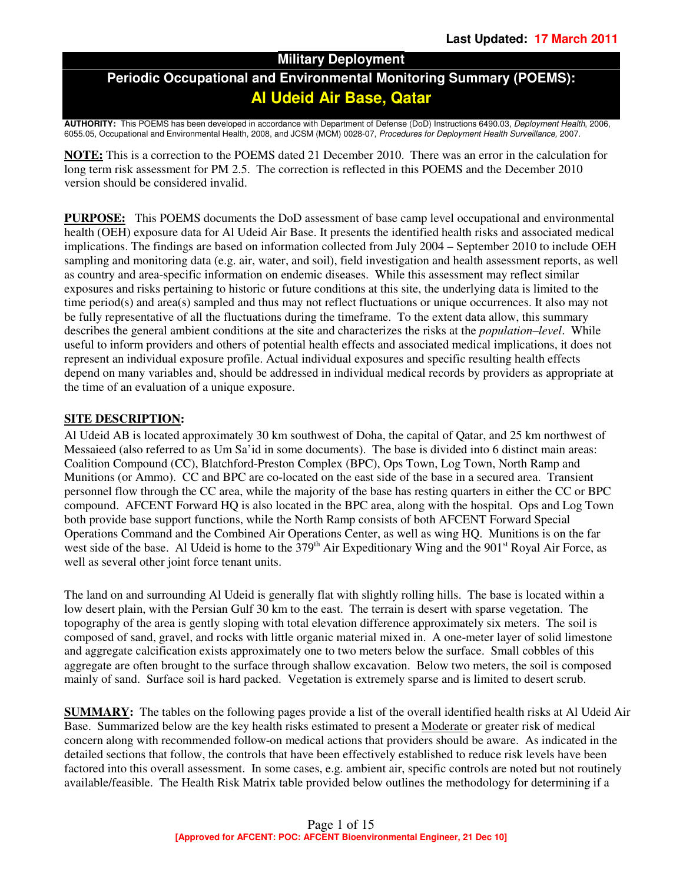## **Military Deployment**

## **Periodic Occupational and Environmental Monitoring Summary (POEMS): Al Udeid Air Base, Qatar**

**AUTHORITY:** This POEMS has been developed in accordance with Department of Defense (DoD) Instructions 6490.03, Deployment Health, 2006, 6055.05, Occupational and Environmental Health, 2008, and JCSM (MCM) 0028-07, Procedures for Deployment Health Surveillance, 2007.

**NOTE:** This is a correction to the POEMS dated 21 December 2010. There was an error in the calculation for long term risk assessment for PM 2.5. The correction is reflected in this POEMS and the December 2010 version should be considered invalid.

**PURPOSE:** This POEMS documents the DoD assessment of base camp level occupational and environmental health (OEH) exposure data for Al Udeid Air Base. It presents the identified health risks and associated medical implications. The findings are based on information collected from July 2004 – September 2010 to include OEH sampling and monitoring data (e.g. air, water, and soil), field investigation and health assessment reports, as well as country and area-specific information on endemic diseases. While this assessment may reflect similar exposures and risks pertaining to historic or future conditions at this site, the underlying data is limited to the time period(s) and area(s) sampled and thus may not reflect fluctuations or unique occurrences. It also may not be fully representative of all the fluctuations during the timeframe. To the extent data allow, this summary describes the general ambient conditions at the site and characterizes the risks at the *population–level*. While useful to inform providers and others of potential health effects and associated medical implications, it does not represent an individual exposure profile. Actual individual exposures and specific resulting health effects depend on many variables and, should be addressed in individual medical records by providers as appropriate at the time of an evaluation of a unique exposure.

### **SITE DESCRIPTION:**

Al Udeid AB is located approximately 30 km southwest of Doha, the capital of Qatar, and 25 km northwest of Messaieed (also referred to as Um Sa'id in some documents). The base is divided into 6 distinct main areas: Coalition Compound (CC), Blatchford-Preston Complex (BPC), Ops Town, Log Town, North Ramp and Munitions (or Ammo). CC and BPC are co-located on the east side of the base in a secured area. Transient personnel flow through the CC area, while the majority of the base has resting quarters in either the CC or BPC compound. AFCENT Forward HQ is also located in the BPC area, along with the hospital. Ops and Log Town both provide base support functions, while the North Ramp consists of both AFCENT Forward Special Operations Command and the Combined Air Operations Center, as well as wing HQ. Munitions is on the far west side of the base. Al Udeid is home to the 379<sup>th</sup> Air Expeditionary Wing and the 901<sup>st</sup> Royal Air Force, as well as several other joint force tenant units.

The land on and surrounding Al Udeid is generally flat with slightly rolling hills. The base is located within a low desert plain, with the Persian Gulf 30 km to the east. The terrain is desert with sparse vegetation. The topography of the area is gently sloping with total elevation difference approximately six meters. The soil is composed of sand, gravel, and rocks with little organic material mixed in. A one-meter layer of solid limestone and aggregate calcification exists approximately one to two meters below the surface. Small cobbles of this aggregate are often brought to the surface through shallow excavation. Below two meters, the soil is composed mainly of sand. Surface soil is hard packed. Vegetation is extremely sparse and is limited to desert scrub.

**SUMMARY:** The tables on the following pages provide a list of the overall identified health risks at Al Udeid Air Base. Summarized below are the key health risks estimated to present a Moderate or greater risk of medical concern along with recommended follow-on medical actions that providers should be aware. As indicated in the detailed sections that follow, the controls that have been effectively established to reduce risk levels have been factored into this overall assessment. In some cases, e.g. ambient air, specific controls are noted but not routinely available/feasible. The Health Risk Matrix table provided below outlines the methodology for determining if a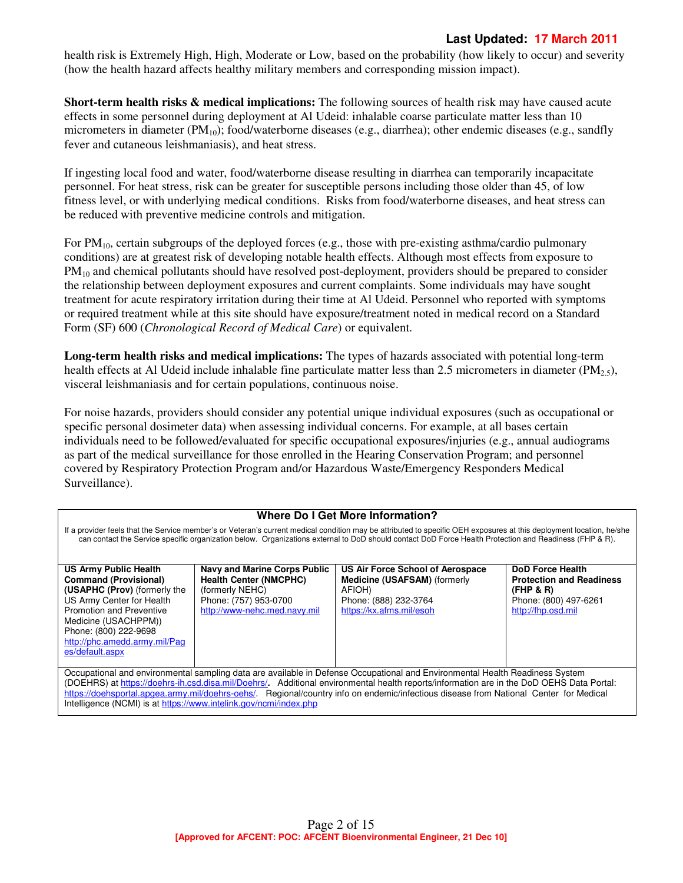## **Last Updated: 17 March 2011**

health risk is Extremely High, High, Moderate or Low, based on the probability (how likely to occur) and severity (how the health hazard affects healthy military members and corresponding mission impact).

**Short-term health risks & medical implications:** The following sources of health risk may have caused acute effects in some personnel during deployment at Al Udeid: inhalable coarse particulate matter less than 10 micrometers in diameter  $(PM_{10})$ ; food/waterborne diseases (e.g., diarrhea); other endemic diseases (e.g., sandfly fever and cutaneous leishmaniasis), and heat stress.

If ingesting local food and water, food/waterborne disease resulting in diarrhea can temporarily incapacitate personnel. For heat stress, risk can be greater for susceptible persons including those older than 45, of low fitness level, or with underlying medical conditions. Risks from food/waterborne diseases, and heat stress can be reduced with preventive medicine controls and mitigation.

For  $PM_{10}$ , certain subgroups of the deployed forces (e.g., those with pre-existing asthma/cardio pulmonary conditions) are at greatest risk of developing notable health effects. Although most effects from exposure to PM<sub>10</sub> and chemical pollutants should have resolved post-deployment, providers should be prepared to consider the relationship between deployment exposures and current complaints. Some individuals may have sought treatment for acute respiratory irritation during their time at Al Udeid. Personnel who reported with symptoms or required treatment while at this site should have exposure/treatment noted in medical record on a Standard Form (SF) 600 (*Chronological Record of Medical Care*) or equivalent.

**Long-term health risks and medical implications:** The types of hazards associated with potential long-term health effects at Al Udeid include inhalable fine particulate matter less than 2.5 micrometers in diameter (PM<sub>25</sub>), visceral leishmaniasis and for certain populations, continuous noise.

For noise hazards, providers should consider any potential unique individual exposures (such as occupational or specific personal dosimeter data) when assessing individual concerns. For example, at all bases certain individuals need to be followed/evaluated for specific occupational exposures/injuries (e.g., annual audiograms as part of the medical surveillance for those enrolled in the Hearing Conservation Program; and personnel covered by Respiratory Protection Program and/or Hazardous Waste/Emergency Responders Medical Surveillance).

#### **Where Do I Get More Information?**

If a provider feels that the Service member's or Veteran's current medical condition may be attributed to specific OEH exposures at this deployment location, he/she can contact the Service specific organization below. Organizations external to DoD should contact DoD Force Health Protection and Readiness (FHP & R).

| US Army Public Health           | <b>Navy and Marine Corps Public</b> | US Air Force School of Aerospace                                                                                             | <b>DoD Force Health</b>         |
|---------------------------------|-------------------------------------|------------------------------------------------------------------------------------------------------------------------------|---------------------------------|
| <b>Command (Provisional)</b>    | <b>Health Center (NMCPHC)</b>       | <b>Medicine (USAFSAM)</b> (formerly                                                                                          | <b>Protection and Readiness</b> |
| (USAPHC (Prov) (formerly the    | (formerly NEHC)                     | AFIOH)                                                                                                                       | (FHP & R)                       |
| US Army Center for Health       | Phone: (757) 953-0700               | Phone: (888) 232-3764                                                                                                        | Phone: (800) 497-6261           |
| <b>Promotion and Preventive</b> | http://www-nehc.med.navy.mil        | https://kx.afms.mil/esoh                                                                                                     | http://fhp.osd.mil              |
| Medicine (USACHPPM))            |                                     |                                                                                                                              |                                 |
| Phone: (800) 222-9698           |                                     |                                                                                                                              |                                 |
| http://phc.amedd.army.mil/Pag   |                                     |                                                                                                                              |                                 |
| es/default.aspx                 |                                     |                                                                                                                              |                                 |
|                                 |                                     |                                                                                                                              |                                 |
|                                 |                                     | Occupational and environmental sampling data are available in Defense Occupational and Environmental Health Readiness System |                                 |

(DOEHRS) at https://doehrs-ih.csd.disa.mil/Doehrs/**.** Additional environmental health reports/information are in the DoD OEHS Data Portal: https://doehsportal.apgea.army.mil/doehrs-oehs/. Regional/country info on endemic/infectious disease from National Center for Medical Intelligence (NCMI) is at https://www.intelink.gov/ncmi/index.php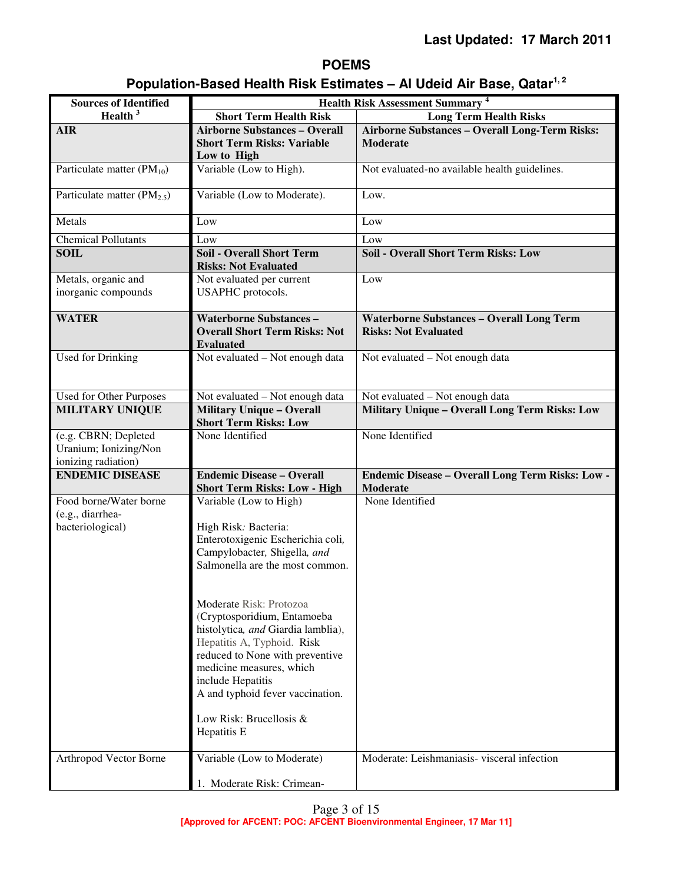## **POEMS**

# **Population-Based Health Risk Estimates – Al Udeid Air Base, Qatar1, 2**

| <b>Sources of Identified</b>                                         | <b>Health Risk Assessment Summary 4</b>                                                                                                                                                                                                                                                                                                                                                                                                                |                                                                                 |  |  |
|----------------------------------------------------------------------|--------------------------------------------------------------------------------------------------------------------------------------------------------------------------------------------------------------------------------------------------------------------------------------------------------------------------------------------------------------------------------------------------------------------------------------------------------|---------------------------------------------------------------------------------|--|--|
| Health $3$                                                           | <b>Short Term Health Risk</b>                                                                                                                                                                                                                                                                                                                                                                                                                          | <b>Long Term Health Risks</b>                                                   |  |  |
| <b>AIR</b>                                                           | <b>Airborne Substances - Overall</b><br><b>Short Term Risks: Variable</b><br>Low to High                                                                                                                                                                                                                                                                                                                                                               | Airborne Substances - Overall Long-Term Risks:<br><b>Moderate</b>               |  |  |
| Particulate matter $(PM_{10})$                                       | Variable (Low to High).                                                                                                                                                                                                                                                                                                                                                                                                                                | Not evaluated-no available health guidelines.                                   |  |  |
| Particulate matter $(PM_{2.5})$                                      | Variable (Low to Moderate).                                                                                                                                                                                                                                                                                                                                                                                                                            | Low.                                                                            |  |  |
| Metals                                                               | Low                                                                                                                                                                                                                                                                                                                                                                                                                                                    | Low                                                                             |  |  |
| <b>Chemical Pollutants</b>                                           | Low                                                                                                                                                                                                                                                                                                                                                                                                                                                    | Low                                                                             |  |  |
| <b>SOIL</b>                                                          | <b>Soil - Overall Short Term</b><br><b>Risks: Not Evaluated</b>                                                                                                                                                                                                                                                                                                                                                                                        | <b>Soil - Overall Short Term Risks: Low</b>                                     |  |  |
| Metals, organic and<br>inorganic compounds                           | Not evaluated per current<br>USAPHC protocols.                                                                                                                                                                                                                                                                                                                                                                                                         | Low                                                                             |  |  |
| <b>WATER</b>                                                         | <b>Waterborne Substances -</b><br><b>Overall Short Term Risks: Not</b><br><b>Evaluated</b>                                                                                                                                                                                                                                                                                                                                                             | <b>Waterborne Substances - Overall Long Term</b><br><b>Risks: Not Evaluated</b> |  |  |
| <b>Used for Drinking</b>                                             | Not evaluated - Not enough data                                                                                                                                                                                                                                                                                                                                                                                                                        | Not evaluated - Not enough data                                                 |  |  |
| Used for Other Purposes                                              | Not evaluated - Not enough data                                                                                                                                                                                                                                                                                                                                                                                                                        | Not evaluated - Not enough data                                                 |  |  |
| <b>MILITARY UNIQUE</b>                                               | <b>Military Unique - Overall</b><br><b>Short Term Risks: Low</b>                                                                                                                                                                                                                                                                                                                                                                                       | Military Unique - Overall Long Term Risks: Low                                  |  |  |
| (e.g. CBRN; Depleted<br>Uranium; Ionizing/Non<br>ionizing radiation) | None Identified                                                                                                                                                                                                                                                                                                                                                                                                                                        | None Identified                                                                 |  |  |
| <b>ENDEMIC DISEASE</b>                                               | <b>Endemic Disease - Overall</b><br><b>Short Term Risks: Low - High</b>                                                                                                                                                                                                                                                                                                                                                                                | Endemic Disease - Overall Long Term Risks: Low -<br>Moderate                    |  |  |
| Food borne/Water borne<br>(e.g., diarrhea-<br>bacteriological)       | Variable (Low to High)<br>High Risk: Bacteria:<br>Enterotoxigenic Escherichia coli,<br>Campylobacter, Shigella, and<br>Salmonella are the most common.<br>Moderate Risk: Protozoa<br>(Cryptosporidium, Entamoeba<br>histolytica, and Giardia lamblia),<br>Hepatitis A, Typhoid. Risk<br>reduced to None with preventive<br>medicine measures, which<br>include Hepatitis<br>A and typhoid fever vaccination.<br>Low Risk: Brucellosis &<br>Hepatitis E | None Identified                                                                 |  |  |
| Arthropod Vector Borne                                               | Variable (Low to Moderate)<br>1. Moderate Risk: Crimean-                                                                                                                                                                                                                                                                                                                                                                                               | Moderate: Leishmaniasis-visceral infection                                      |  |  |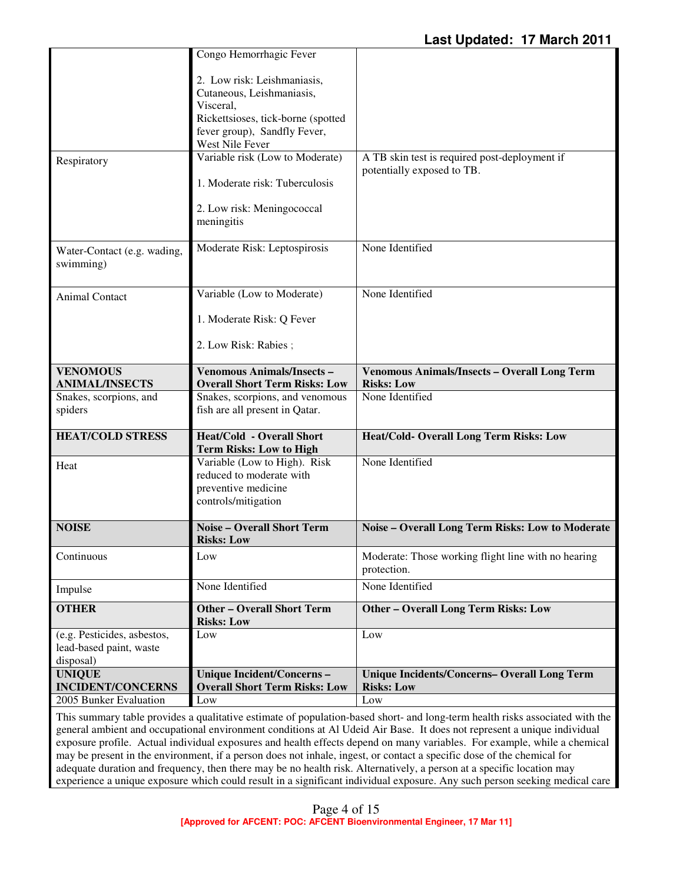|                                                                     | Congo Hemorrhagic Fever                                                                                                                                        |                                                                             |
|---------------------------------------------------------------------|----------------------------------------------------------------------------------------------------------------------------------------------------------------|-----------------------------------------------------------------------------|
|                                                                     | 2. Low risk: Leishmaniasis,<br>Cutaneous, Leishmaniasis,<br>Visceral,<br>Rickettsioses, tick-borne (spotted<br>fever group), Sandfly Fever,<br>West Nile Fever |                                                                             |
| Respiratory                                                         | Variable risk (Low to Moderate)                                                                                                                                | A TB skin test is required post-deployment if<br>potentially exposed to TB. |
|                                                                     | 1. Moderate risk: Tuberculosis                                                                                                                                 |                                                                             |
|                                                                     | 2. Low risk: Meningococcal<br>meningitis                                                                                                                       |                                                                             |
| Water-Contact (e.g. wading,<br>swimming)                            | Moderate Risk: Leptospirosis                                                                                                                                   | None Identified                                                             |
| Animal Contact                                                      | Variable (Low to Moderate)                                                                                                                                     | None Identified                                                             |
|                                                                     | 1. Moderate Risk: Q Fever                                                                                                                                      |                                                                             |
|                                                                     | 2. Low Risk: Rabies;                                                                                                                                           |                                                                             |
| <b>VENOMOUS</b><br><b>ANIMAL/INSECTS</b>                            | <b>Venomous Animals/Insects -</b><br><b>Overall Short Term Risks: Low</b>                                                                                      | <b>Venomous Animals/Insects - Overall Long Term</b><br><b>Risks: Low</b>    |
| Snakes, scorpions, and<br>spiders                                   | Snakes, scorpions, and venomous<br>fish are all present in Qatar.                                                                                              | None Identified                                                             |
|                                                                     |                                                                                                                                                                |                                                                             |
| <b>HEAT/COLD STRESS</b>                                             | <b>Heat/Cold - Overall Short</b><br><b>Term Risks: Low to High</b>                                                                                             | Heat/Cold- Overall Long Term Risks: Low                                     |
| Heat                                                                | Variable (Low to High). Risk<br>reduced to moderate with<br>preventive medicine<br>controls/mitigation                                                         | None Identified                                                             |
| <b>NOISE</b>                                                        | <b>Noise - Overall Short Term</b><br><b>Risks: Low</b>                                                                                                         | Noise - Overall Long Term Risks: Low to Moderate                            |
| Continuous                                                          | Low                                                                                                                                                            | Moderate: Those working flight line with no hearing<br>protection.          |
| Impulse                                                             | None Identified                                                                                                                                                | None Identified                                                             |
| <b>OTHER</b>                                                        | <b>Other - Overall Short Term</b><br><b>Risks: Low</b>                                                                                                         | <b>Other - Overall Long Term Risks: Low</b>                                 |
| (e.g. Pesticides, asbestos,<br>lead-based paint, waste<br>disposal) | Low                                                                                                                                                            | Low                                                                         |
| <b>UNIQUE</b>                                                       | Unique Incident/Concerns-                                                                                                                                      | <b>Unique Incidents/Concerns- Overall Long Term</b>                         |
| <b>INCIDENT/CONCERNS</b><br>2005 Bunker Evaluation                  | <b>Overall Short Term Risks: Low</b><br>Low                                                                                                                    | <b>Risks: Low</b><br>Low                                                    |

This summary table provides a qualitative estimate of population-based short- and long-term health risks associated with the general ambient and occupational environment conditions at Al Udeid Air Base.It does not represent a unique individual exposure profile. Actual individual exposures and health effects depend on many variables. For example, while a chemical may be present in the environment, if a person does not inhale, ingest, or contact a specific dose of the chemical for adequate duration and frequency, then there may be no health risk. Alternatively, a person at a specific location may experience a unique exposure which could result in a significant individual exposure. Any such person seeking medical care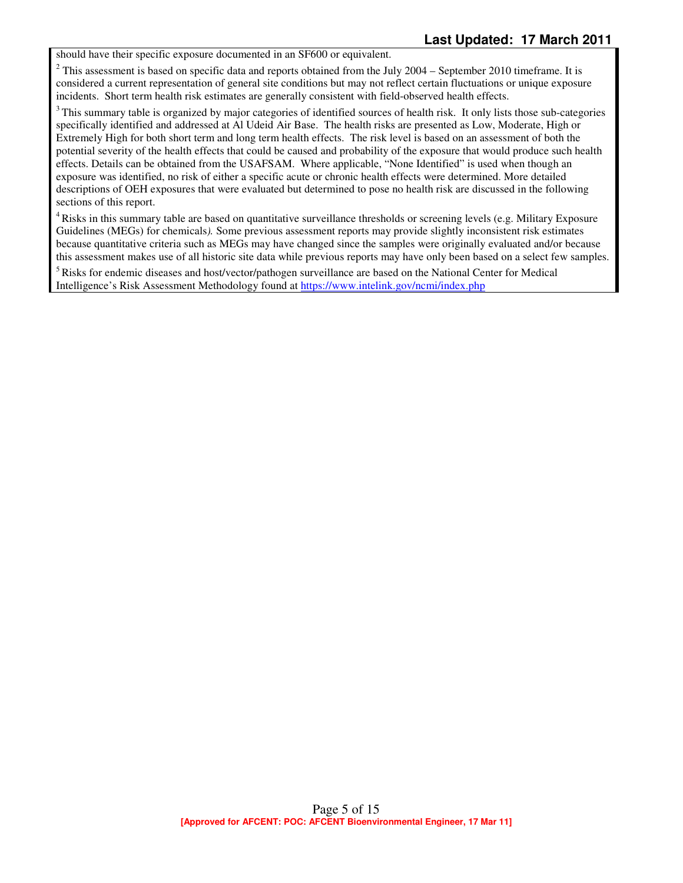should have their specific exposure documented in an SF600 or equivalent.

 $2^2$  This assessment is based on specific data and reports obtained from the July 2004 – September 2010 timeframe. It is considered a current representation of general site conditions but may not reflect certain fluctuations or unique exposure incidents. Short term health risk estimates are generally consistent with field-observed health effects.

<sup>3</sup>This summary table is organized by major categories of identified sources of health risk. It only lists those sub-categories specifically identified and addressed at Al Udeid Air Base. The health risks are presented as Low, Moderate, High or Extremely High for both short term and long term health effects. The risk level is based on an assessment of both the potential severity of the health effects that could be caused and probability of the exposure that would produce such health effects. Details can be obtained from the USAFSAM. Where applicable, "None Identified" is used when though an exposure was identified, no risk of either a specific acute or chronic health effects were determined. More detailed descriptions of OEH exposures that were evaluated but determined to pose no health risk are discussed in the following sections of this report.

<sup>4</sup> Risks in this summary table are based on quantitative surveillance thresholds or screening levels (e.g. Military Exposure Guidelines (MEGs) for chemicals*).* Some previous assessment reports may provide slightly inconsistent risk estimates because quantitative criteria such as MEGs may have changed since the samples were originally evaluated and/or because this assessment makes use of all historic site data while previous reports may have only been based on a select few samples.

<sup>5</sup>Risks for endemic diseases and host/vector/pathogen surveillance are based on the National Center for Medical Intelligence's Risk Assessment Methodology found at https://www.intelink.gov/ncmi/index.php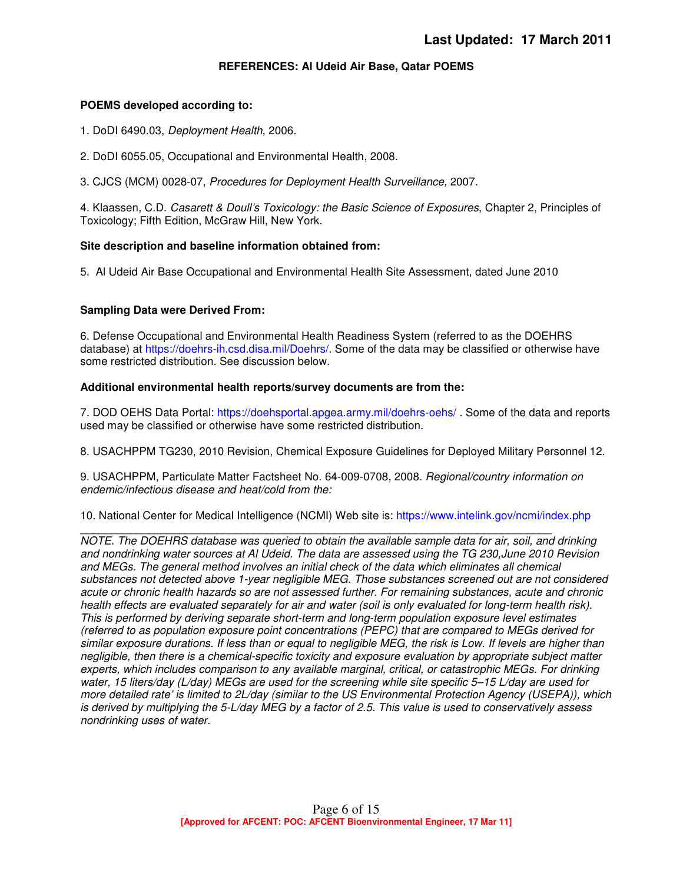#### **REFERENCES: Al Udeid Air Base, Qatar POEMS**

#### **POEMS developed according to:**

- 1. DoDI 6490.03, Deployment Health, 2006.
- 2. DoDI 6055.05, Occupational and Environmental Health, 2008.

3. CJCS (MCM) 0028-07, Procedures for Deployment Health Surveillance, 2007.

4. Klaassen, C.D. Casarett & Doull's Toxicology: the Basic Science of Exposures, Chapter 2, Principles of Toxicology; Fifth Edition, McGraw Hill, New York.

#### **Site description and baseline information obtained from:**

5. Al Udeid Air Base Occupational and Environmental Health Site Assessment, dated June 2010

#### **Sampling Data were Derived From:**

6. Defense Occupational and Environmental Health Readiness System (referred to as the DOEHRS database) at https://doehrs-ih.csd.disa.mil/Doehrs/. Some of the data may be classified or otherwise have some restricted distribution. See discussion below.

#### **Additional environmental health reports/survey documents are from the:**

7. DOD OEHS Data Portal: https://doehsportal.apgea.army.mil/doehrs-oehs/ . Some of the data and reports used may be classified or otherwise have some restricted distribution.

8. USACHPPM TG230, 2010 Revision, Chemical Exposure Guidelines for Deployed Military Personnel 12.

9. USACHPPM, Particulate Matter Factsheet No. 64-009-0708, 2008. Regional/country information on endemic/infectious disease and heat/cold from the:

10. National Center for Medical Intelligence (NCMI) Web site is: https://www.intelink.gov/ncmi/index.php

\_\_\_\_\_\_\_\_\_\_\_\_\_\_\_\_\_\_\_\_\_\_\_\_\_\_\_\_\_\_\_\_\_\_\_\_\_\_\_\_\_\_\_\_\_\_\_\_\_\_\_\_\_\_\_\_\_\_\_\_\_\_\_\_\_\_\_\_\_\_\_\_\_\_\_\_ NOTE. The DOEHRS database was queried to obtain the available sample data for air, soil, and drinking and nondrinking water sources at Al Udeid. The data are assessed using the TG 230,June 2010 Revision and MEGs. The general method involves an initial check of the data which eliminates all chemical substances not detected above 1-year negligible MEG. Those substances screened out are not considered acute or chronic health hazards so are not assessed further. For remaining substances, acute and chronic health effects are evaluated separately for air and water (soil is only evaluated for long-term health risk). This is performed by deriving separate short-term and long-term population exposure level estimates (referred to as population exposure point concentrations (PEPC) that are compared to MEGs derived for similar exposure durations. If less than or equal to negligible MEG, the risk is Low. If levels are higher than negligible, then there is a chemical-specific toxicity and exposure evaluation by appropriate subject matter experts, which includes comparison to any available marginal, critical, or catastrophic MEGs. For drinking water, 15 liters/day (L/day) MEGs are used for the screening while site specific 5-15 L/day are used for more detailed rate' is limited to 2L/day (similar to the US Environmental Protection Agency (USEPA)), which is derived by multiplying the 5-L/day MEG by a factor of 2.5. This value is used to conservatively assess nondrinking uses of water.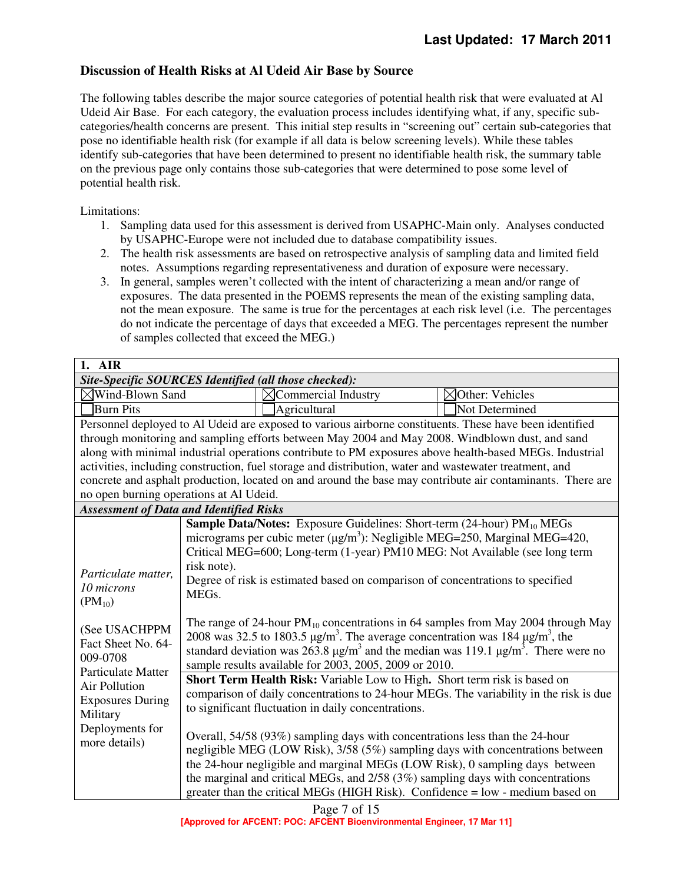## **Discussion of Health Risks at Al Udeid Air Base by Source**

The following tables describe the major source categories of potential health risk that were evaluated at Al Udeid Air Base. For each category, the evaluation process includes identifying what, if any, specific subcategories/health concerns are present. This initial step results in "screening out" certain sub-categories that pose no identifiable health risk (for example if all data is below screening levels). While these tables identify sub-categories that have been determined to present no identifiable health risk, the summary table on the previous page only contains those sub-categories that were determined to pose some level of potential health risk.

Limitations:

- 1. Sampling data used for this assessment is derived from USAPHC-Main only. Analyses conducted by USAPHC-Europe were not included due to database compatibility issues.
- 2. The health risk assessments are based on retrospective analysis of sampling data and limited field notes. Assumptions regarding representativeness and duration of exposure were necessary.
- 3. In general, samples weren't collected with the intent of characterizing a mean and/or range of exposures. The data presented in the POEMS represents the mean of the existing sampling data, not the mean exposure. The same is true for the percentages at each risk level (i.e. The percentages do not indicate the percentage of days that exceeded a MEG. The percentages represent the number of samples collected that exceed the MEG.)

| 1. AIR                                                                                                  |                                                                                                                     |                                                                                                            |                             |
|---------------------------------------------------------------------------------------------------------|---------------------------------------------------------------------------------------------------------------------|------------------------------------------------------------------------------------------------------------|-----------------------------|
| Site-Specific SOURCES Identified (all those checked):                                                   |                                                                                                                     |                                                                                                            |                             |
| $\boxtimes$ Wind-Blown Sand                                                                             |                                                                                                                     | $\boxtimes$ Commercial Industry                                                                            | $\boxtimes$ Other: Vehicles |
| <b>Burn Pits</b>                                                                                        |                                                                                                                     | Agricultural                                                                                               | Not Determined              |
| Personnel deployed to Al Udeid are exposed to various airborne constituents. These have been identified |                                                                                                                     |                                                                                                            |                             |
|                                                                                                         |                                                                                                                     | through monitoring and sampling efforts between May 2004 and May 2008. Windblown dust, and sand            |                             |
|                                                                                                         |                                                                                                                     | along with minimal industrial operations contribute to PM exposures above health-based MEGs. Industrial    |                             |
|                                                                                                         |                                                                                                                     | activities, including construction, fuel storage and distribution, water and wastewater treatment, and     |                             |
|                                                                                                         |                                                                                                                     | concrete and asphalt production, located on and around the base may contribute air contaminants. There are |                             |
| no open burning operations at Al Udeid.                                                                 |                                                                                                                     |                                                                                                            |                             |
| <b>Assessment of Data and Identified Risks</b>                                                          |                                                                                                                     |                                                                                                            |                             |
|                                                                                                         |                                                                                                                     | <b>Sample Data/Notes:</b> Exposure Guidelines: Short-term (24-hour) PM <sub>10</sub> MEGs                  |                             |
|                                                                                                         |                                                                                                                     | micrograms per cubic meter ( $\mu$ g/m <sup>3</sup> ): Negligible MEG=250, Marginal MEG=420,               |                             |
|                                                                                                         |                                                                                                                     | Critical MEG=600; Long-term (1-year) PM10 MEG: Not Available (see long term                                |                             |
| Particulate matter,                                                                                     | risk note).                                                                                                         |                                                                                                            |                             |
| 10 microns                                                                                              | Degree of risk is estimated based on comparison of concentrations to specified                                      |                                                                                                            |                             |
| $(PM_{10})$                                                                                             | MEGs.                                                                                                               |                                                                                                            |                             |
|                                                                                                         |                                                                                                                     |                                                                                                            |                             |
| (See USACHPPM                                                                                           |                                                                                                                     | The range of 24-hour $PM_{10}$ concentrations in 64 samples from May 2004 through May                      |                             |
| Fact Sheet No. 64-                                                                                      | 2008 was 32.5 to 1803.5 $\mu$ g/m <sup>3</sup> . The average concentration was 184 $\mu$ g/m <sup>3</sup> , the     |                                                                                                            |                             |
| 009-0708                                                                                                | standard deviation was 263.8 $\mu$ g/m <sup>3</sup> and the median was 119.1 $\mu$ g/m <sup>3</sup> . There were no |                                                                                                            |                             |
| Particulate Matter                                                                                      |                                                                                                                     | sample results available for 2003, 2005, 2009 or 2010.                                                     |                             |
| <b>Air Pollution</b>                                                                                    |                                                                                                                     | Short Term Health Risk: Variable Low to High. Short term risk is based on                                  |                             |
| <b>Exposures During</b>                                                                                 |                                                                                                                     | comparison of daily concentrations to 24-hour MEGs. The variability in the risk is due                     |                             |
| Military                                                                                                |                                                                                                                     | to significant fluctuation in daily concentrations.                                                        |                             |
| Deployments for                                                                                         |                                                                                                                     |                                                                                                            |                             |
| more details)                                                                                           |                                                                                                                     | Overall, 54/58 (93%) sampling days with concentrations less than the 24-hour                               |                             |
|                                                                                                         | negligible MEG (LOW Risk), 3/58 (5%) sampling days with concentrations between                                      |                                                                                                            |                             |
|                                                                                                         |                                                                                                                     | the 24-hour negligible and marginal MEGs (LOW Risk), 0 sampling days between                               |                             |
|                                                                                                         |                                                                                                                     | the marginal and critical MEGs, and 2/58 (3%) sampling days with concentrations                            |                             |
|                                                                                                         |                                                                                                                     | greater than the critical MEGs (HIGH Risk). Confidence = low - medium based on                             |                             |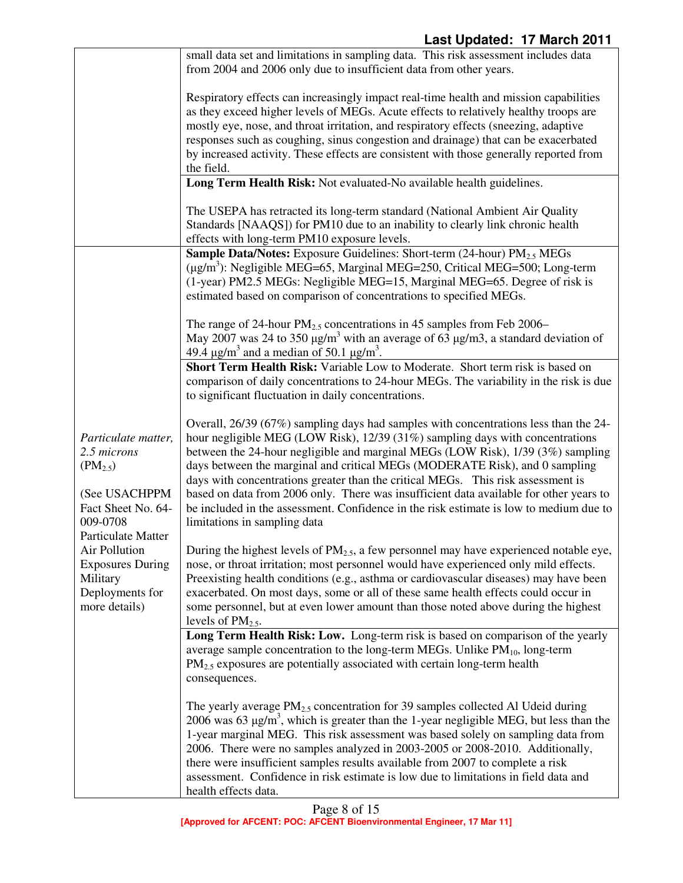|                                     | small data set and limitations in sampling data. This risk assessment includes data<br>from 2004 and 2006 only due to insufficient data from other years.                                                      |
|-------------------------------------|----------------------------------------------------------------------------------------------------------------------------------------------------------------------------------------------------------------|
|                                     |                                                                                                                                                                                                                |
|                                     | Respiratory effects can increasingly impact real-time health and mission capabilities<br>as they exceed higher levels of MEGs. Acute effects to relatively healthy troops are                                  |
|                                     | mostly eye, nose, and throat irritation, and respiratory effects (sneezing, adaptive                                                                                                                           |
|                                     | responses such as coughing, sinus congestion and drainage) that can be exacerbated<br>by increased activity. These effects are consistent with those generally reported from                                   |
|                                     | the field.                                                                                                                                                                                                     |
|                                     | Long Term Health Risk: Not evaluated-No available health guidelines.                                                                                                                                           |
|                                     | The USEPA has retracted its long-term standard (National Ambient Air Quality<br>Standards [NAAQS]) for PM10 due to an inability to clearly link chronic health<br>effects with long-term PM10 exposure levels. |
|                                     | <b>Sample Data/Notes:</b> Exposure Guidelines: Short-term (24-hour) PM <sub>2.5</sub> MEGs                                                                                                                     |
|                                     | $(\mu\text{g/m}^3)$ : Negligible MEG=65, Marginal MEG=250, Critical MEG=500; Long-term                                                                                                                         |
|                                     | (1-year) PM2.5 MEGs: Negligible MEG=15, Marginal MEG=65. Degree of risk is                                                                                                                                     |
|                                     | estimated based on comparison of concentrations to specified MEGs.                                                                                                                                             |
|                                     | The range of 24-hour $PM_{2.5}$ concentrations in 45 samples from Feb 2006–                                                                                                                                    |
|                                     | May 2007 was 24 to 350 $\mu$ g/m <sup>3</sup> with an average of 63 $\mu$ g/m3, a standard deviation of                                                                                                        |
|                                     | 49.4 $\mu$ g/m <sup>3</sup> and a median of 50.1 $\mu$ g/m <sup>3</sup> .                                                                                                                                      |
|                                     | <b>Short Term Health Risk:</b> Variable Low to Moderate. Short term risk is based on                                                                                                                           |
|                                     | comparison of daily concentrations to 24-hour MEGs. The variability in the risk is due<br>to significant fluctuation in daily concentrations.                                                                  |
|                                     |                                                                                                                                                                                                                |
|                                     | Overall, 26/39 (67%) sampling days had samples with concentrations less than the 24-                                                                                                                           |
| Particulate matter,<br>2.5 microns  | hour negligible MEG (LOW Risk), 12/39 (31%) sampling days with concentrations<br>between the 24-hour negligible and marginal MEGs (LOW Risk), 1/39 (3%) sampling                                               |
| $(PM_{2.5})$                        | days between the marginal and critical MEGs (MODERATE Risk), and 0 sampling                                                                                                                                    |
|                                     | days with concentrations greater than the critical MEGs. This risk assessment is                                                                                                                               |
| (See USACHPPM                       | based on data from 2006 only. There was insufficient data available for other years to                                                                                                                         |
| Fact Sheet No. 64-                  | be included in the assessment. Confidence in the risk estimate is low to medium due to                                                                                                                         |
| 009-0708                            | limitations in sampling data                                                                                                                                                                                   |
| Particulate Matter<br>Air Pollution | During the highest levels of $PM2.5$ , a few personnel may have experienced notable eye,                                                                                                                       |
| <b>Exposures During</b>             | nose, or throat irritation; most personnel would have experienced only mild effects.                                                                                                                           |
| Military                            | Preexisting health conditions (e.g., asthma or cardiovascular diseases) may have been                                                                                                                          |
| Deployments for                     | exacerbated. On most days, some or all of these same health effects could occur in                                                                                                                             |
| more details)                       | some personnel, but at even lower amount than those noted above during the highest                                                                                                                             |
|                                     | levels of $PM_{2.5}$ .                                                                                                                                                                                         |
|                                     | Long Term Health Risk: Low. Long-term risk is based on comparison of the yearly                                                                                                                                |
|                                     | average sample concentration to the long-term MEGs. Unlike $PM_{10}$ , long-term<br>$PM_{2.5}$ exposures are potentially associated with certain long-term health                                              |
|                                     | consequences.                                                                                                                                                                                                  |
|                                     |                                                                                                                                                                                                                |
|                                     | The yearly average $PM_{2.5}$ concentration for 39 samples collected Al Udeid during                                                                                                                           |
|                                     | 2006 was 63 $\mu$ g/m <sup>3</sup> , which is greater than the 1-year negligible MEG, but less than the                                                                                                        |
|                                     | 1-year marginal MEG. This risk assessment was based solely on sampling data from<br>2006. There were no samples analyzed in 2003-2005 or 2008-2010. Additionally,                                              |
|                                     | there were insufficient samples results available from 2007 to complete a risk                                                                                                                                 |
|                                     | assessment. Confidence in risk estimate is low due to limitations in field data and                                                                                                                            |
|                                     | health effects data.                                                                                                                                                                                           |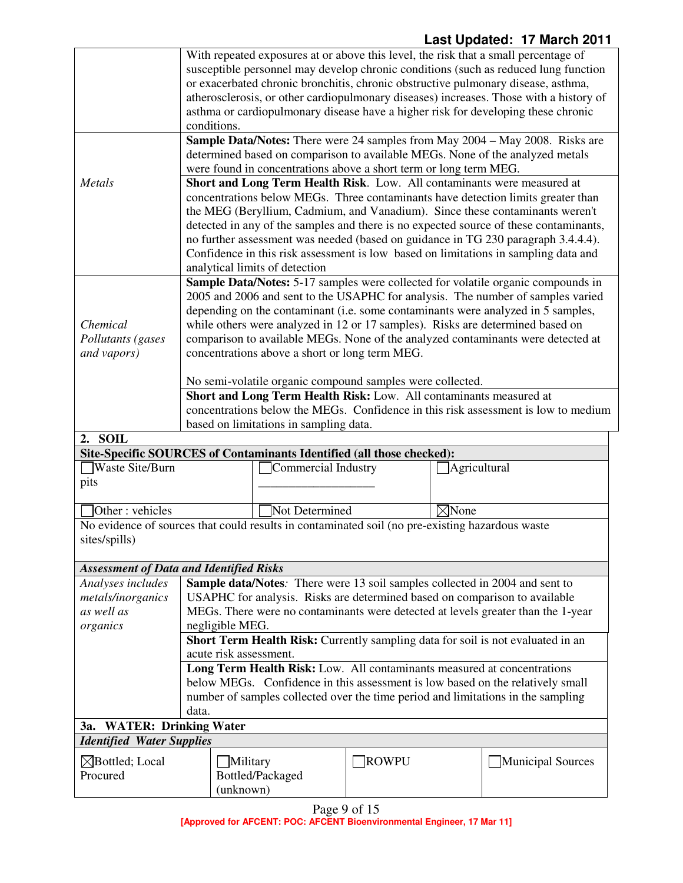|                                                                                                                  | With repeated exposures at or above this level, the risk that a small percentage of                                                                                         |                                                                                  |       |                  |                                                                                       |
|------------------------------------------------------------------------------------------------------------------|-----------------------------------------------------------------------------------------------------------------------------------------------------------------------------|----------------------------------------------------------------------------------|-------|------------------|---------------------------------------------------------------------------------------|
|                                                                                                                  | susceptible personnel may develop chronic conditions (such as reduced lung function                                                                                         |                                                                                  |       |                  |                                                                                       |
|                                                                                                                  | or exacerbated chronic bronchitis, chronic obstructive pulmonary disease, asthma,                                                                                           |                                                                                  |       |                  |                                                                                       |
|                                                                                                                  | atherosclerosis, or other cardiopulmonary diseases) increases. Those with a history of<br>asthma or cardiopulmonary disease have a higher risk for developing these chronic |                                                                                  |       |                  |                                                                                       |
|                                                                                                                  | conditions.                                                                                                                                                                 |                                                                                  |       |                  |                                                                                       |
|                                                                                                                  |                                                                                                                                                                             |                                                                                  |       |                  | Sample Data/Notes: There were 24 samples from May 2004 - May 2008. Risks are          |
|                                                                                                                  |                                                                                                                                                                             | determined based on comparison to available MEGs. None of the analyzed metals    |       |                  |                                                                                       |
|                                                                                                                  | were found in concentrations above a short term or long term MEG.                                                                                                           |                                                                                  |       |                  |                                                                                       |
| Metals                                                                                                           | Short and Long Term Health Risk. Low. All contaminants were measured at                                                                                                     |                                                                                  |       |                  |                                                                                       |
|                                                                                                                  | concentrations below MEGs. Three contaminants have detection limits greater than                                                                                            |                                                                                  |       |                  |                                                                                       |
|                                                                                                                  | the MEG (Beryllium, Cadmium, and Vanadium). Since these contaminants weren't                                                                                                |                                                                                  |       |                  |                                                                                       |
|                                                                                                                  |                                                                                                                                                                             |                                                                                  |       |                  | detected in any of the samples and there is no expected source of these contaminants, |
|                                                                                                                  |                                                                                                                                                                             |                                                                                  |       |                  | no further assessment was needed (based on guidance in TG 230 paragraph 3.4.4.4).     |
|                                                                                                                  |                                                                                                                                                                             |                                                                                  |       |                  | Confidence in this risk assessment is low based on limitations in sampling data and   |
|                                                                                                                  |                                                                                                                                                                             | analytical limits of detection                                                   |       |                  |                                                                                       |
|                                                                                                                  |                                                                                                                                                                             |                                                                                  |       |                  | Sample Data/Notes: 5-17 samples were collected for volatile organic compounds in      |
|                                                                                                                  |                                                                                                                                                                             |                                                                                  |       |                  | 2005 and 2006 and sent to the USAPHC for analysis. The number of samples varied       |
| Chemical                                                                                                         |                                                                                                                                                                             | while others were analyzed in 12 or 17 samples). Risks are determined based on   |       |                  | depending on the contaminant (i.e. some contaminants were analyzed in 5 samples,      |
| Pollutants (gases                                                                                                |                                                                                                                                                                             |                                                                                  |       |                  | comparison to available MEGs. None of the analyzed contaminants were detected at      |
| and vapors)                                                                                                      |                                                                                                                                                                             | concentrations above a short or long term MEG.                                   |       |                  |                                                                                       |
|                                                                                                                  |                                                                                                                                                                             |                                                                                  |       |                  |                                                                                       |
|                                                                                                                  | No semi-volatile organic compound samples were collected.                                                                                                                   |                                                                                  |       |                  |                                                                                       |
|                                                                                                                  | Short and Long Term Health Risk: Low. All contaminants measured at                                                                                                          |                                                                                  |       |                  |                                                                                       |
|                                                                                                                  | concentrations below the MEGs. Confidence in this risk assessment is low to medium                                                                                          |                                                                                  |       |                  |                                                                                       |
|                                                                                                                  |                                                                                                                                                                             | based on limitations in sampling data.                                           |       |                  |                                                                                       |
| <b>SOIL</b><br>2.                                                                                                |                                                                                                                                                                             |                                                                                  |       |                  |                                                                                       |
|                                                                                                                  |                                                                                                                                                                             | Site-Specific SOURCES of Contaminants Identified (all those checked):            |       |                  |                                                                                       |
| Waste Site/Burn                                                                                                  |                                                                                                                                                                             | Commercial Industry                                                              |       | Agricultural     |                                                                                       |
| pits                                                                                                             |                                                                                                                                                                             |                                                                                  |       |                  |                                                                                       |
| Other: vehicles                                                                                                  |                                                                                                                                                                             | Not Determined                                                                   |       | $\boxtimes$ None |                                                                                       |
|                                                                                                                  |                                                                                                                                                                             |                                                                                  |       |                  |                                                                                       |
| No evidence of sources that could results in contaminated soil (no pre-existing hazardous waste<br>sites/spills) |                                                                                                                                                                             |                                                                                  |       |                  |                                                                                       |
|                                                                                                                  |                                                                                                                                                                             |                                                                                  |       |                  |                                                                                       |
| <b>Assessment of Data and Identified Risks</b>                                                                   |                                                                                                                                                                             |                                                                                  |       |                  |                                                                                       |
| Analyses includes                                                                                                |                                                                                                                                                                             | Sample data/Notes: There were 13 soil samples collected in 2004 and sent to      |       |                  |                                                                                       |
| metals/inorganics                                                                                                |                                                                                                                                                                             | USAPHC for analysis. Risks are determined based on comparison to available       |       |                  |                                                                                       |
| as well as                                                                                                       |                                                                                                                                                                             | MEGs. There were no contaminants were detected at levels greater than the 1-year |       |                  |                                                                                       |
| organics                                                                                                         | negligible MEG.                                                                                                                                                             |                                                                                  |       |                  |                                                                                       |
|                                                                                                                  |                                                                                                                                                                             | Short Term Health Risk: Currently sampling data for soil is not evaluated in an  |       |                  |                                                                                       |
|                                                                                                                  |                                                                                                                                                                             | acute risk assessment.                                                           |       |                  |                                                                                       |
|                                                                                                                  |                                                                                                                                                                             | Long Term Health Risk: Low. All contaminants measured at concentrations          |       |                  |                                                                                       |
|                                                                                                                  |                                                                                                                                                                             | below MEGs. Confidence in this assessment is low based on the relatively small   |       |                  |                                                                                       |
|                                                                                                                  |                                                                                                                                                                             | number of samples collected over the time period and limitations in the sampling |       |                  |                                                                                       |
|                                                                                                                  | data.                                                                                                                                                                       |                                                                                  |       |                  |                                                                                       |
| <b>WATER: Drinking Water</b><br><b>3a.</b>                                                                       |                                                                                                                                                                             |                                                                                  |       |                  |                                                                                       |
| <b>Identified Water Supplies</b>                                                                                 |                                                                                                                                                                             |                                                                                  |       |                  |                                                                                       |
| $\boxtimes$ Bottled; Local                                                                                       |                                                                                                                                                                             | Military                                                                         | ROWPU |                  | Municipal Sources                                                                     |
| Procured                                                                                                         |                                                                                                                                                                             | Bottled/Packaged                                                                 |       |                  |                                                                                       |
|                                                                                                                  |                                                                                                                                                                             | (unknown)                                                                        |       |                  |                                                                                       |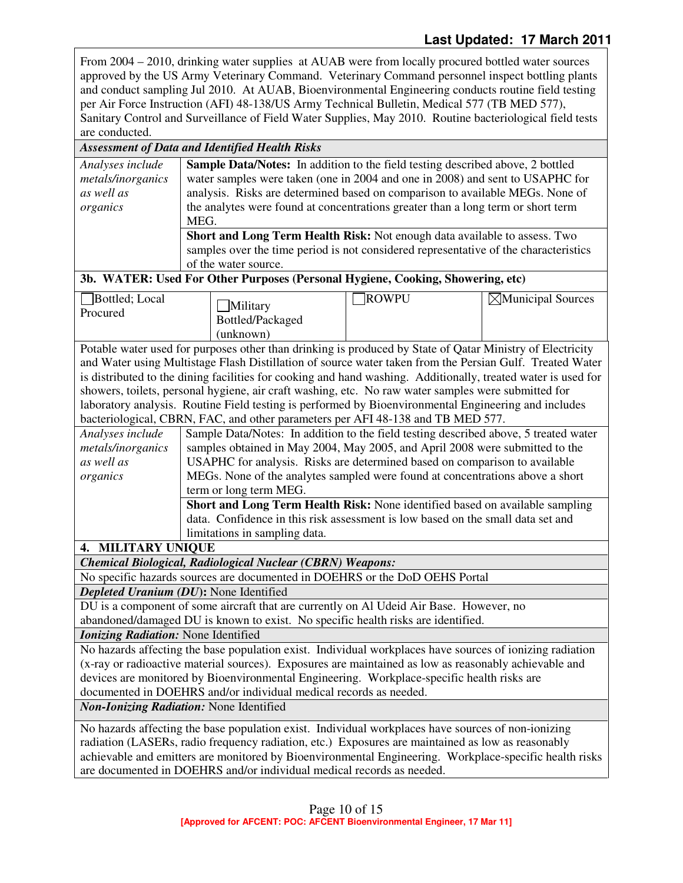From 2004 – 2010, drinking water supplies at AUAB were from locally procured bottled water sources approved by the US Army Veterinary Command. Veterinary Command personnel inspect bottling plants and conduct sampling Jul 2010. At AUAB, Bioenvironmental Engineering conducts routine field testing per Air Force Instruction (AFI) 48-138/US Army Technical Bulletin, Medical 577 (TB MED 577), Sanitary Control and Surveillance of Field Water Supplies, May 2010. Routine bacteriological field tests are conducted.

## *Assessment of Data and Identified Health Risks*

| Analyses include  | <b>Sample Data/Notes:</b> In addition to the field testing described above, 2 bottled |
|-------------------|---------------------------------------------------------------------------------------|
| metals/inorganics | water samples were taken (one in 2004 and one in 2008) and sent to USAPHC for         |
| as well as        | analysis. Risks are determined based on comparison to available MEGs. None of         |
| organics          | the analytes were found at concentrations greater than a long term or short term      |
|                   | MEG.                                                                                  |
|                   | <b>Short and Long Term Health Risk:</b> Not enough data available to assess. Two      |
|                   | samples over the time period is not considered representative of the characteristics  |
|                   | of the water source.                                                                  |

### **3b. WATER: Used For Other Purposes (Personal Hygiene, Cooking, Showering, etc)**

| Bottled; Local<br>Procured | Military<br>Bottled/Packaged | <b>ROWPU</b> | $\boxtimes$ Municipal Sources |
|----------------------------|------------------------------|--------------|-------------------------------|
|                            | (unknown)                    |              |                               |

Potable water used for purposes other than drinking is produced by State of Qatar Ministry of Electricity and Water using Multistage Flash Distillation of source water taken from the Persian Gulf. Treated Water is distributed to the dining facilities for cooking and hand washing. Additionally, treated water is used for showers, toilets, personal hygiene, air craft washing, etc. No raw water samples were submitted for laboratory analysis. Routine Field testing is performed by Bioenvironmental Engineering and includes bacteriological, CBRN, FAC, and other parameters per AFI 48-138 and TB MED 577.

| Analyses include  | Sample Data/Notes: In addition to the field testing described above, 5 treated water |
|-------------------|--------------------------------------------------------------------------------------|
| metals/inorganics | samples obtained in May 2004, May 2005, and April 2008 were submitted to the         |
| as well as        | USAPHC for analysis. Risks are determined based on comparison to available           |
| organics          | MEGs. None of the analytes sampled were found at concentrations above a short        |
|                   | term or long term MEG.                                                               |
|                   | Short and Long Term Health Risk: None identified based on available sampling         |
|                   | data. Confidence in this risk assessment is low based on the small data set and      |
|                   | limitations in sampling data.                                                        |

**4. MILITARY UNIQUE** 

*Chemical Biological, Radiological Nuclear (CBRN) Weapons:*

No specific hazards sources are documented in DOEHRS or the DoD OEHS Portal

*Depleted Uranium (DU***):** None Identified

DU is a component of some aircraft that are currently on Al Udeid Air Base. However, no abandoned/damaged DU is known to exist. No specific health risks are identified.

*Ionizing Radiation:* None Identified

No hazards affecting the base population exist. Individual workplaces have sources of ionizing radiation (x-ray or radioactive material sources). Exposures are maintained as low as reasonably achievable and devices are monitored by Bioenvironmental Engineering. Workplace-specific health risks are documented in DOEHRS and/or individual medical records as needed.

*Non-Ionizing Radiation:* None Identified

No hazards affecting the base population exist. Individual workplaces have sources of non-ionizing radiation (LASERs, radio frequency radiation, etc.) Exposures are maintained as low as reasonably achievable and emitters are monitored by Bioenvironmental Engineering. Workplace-specific health risks are documented in DOEHRS and/or individual medical records as needed.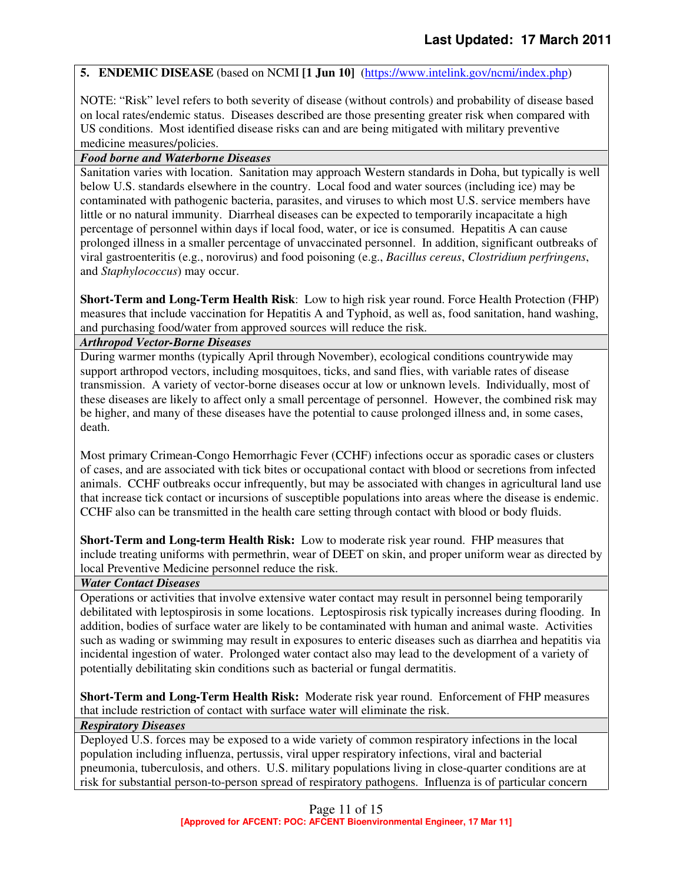#### **5. ENDEMIC DISEASE** (based on NCMI **[1 Jun 10]** (https://www.intelink.gov/ncmi/index.php)

NOTE: "Risk" level refers to both severity of disease (without controls) and probability of disease based on local rates/endemic status. Diseases described are those presenting greater risk when compared with US conditions. Most identified disease risks can and are being mitigated with military preventive medicine measures/policies.

#### *Food borne and Waterborne Diseases*

Sanitation varies with location. Sanitation may approach Western standards in Doha, but typically is well below U.S. standards elsewhere in the country. Local food and water sources (including ice) may be contaminated with pathogenic bacteria, parasites, and viruses to which most U.S. service members have little or no natural immunity. Diarrheal diseases can be expected to temporarily incapacitate a high percentage of personnel within days if local food, water, or ice is consumed. Hepatitis A can cause prolonged illness in a smaller percentage of unvaccinated personnel. In addition, significant outbreaks of viral gastroenteritis (e.g., norovirus) and food poisoning (e.g., *Bacillus cereus*, *Clostridium perfringens*, and *Staphylococcus*) may occur.

**Short-Term and Long-Term Health Risk**: Low to high risk year round. Force Health Protection (FHP) measures that include vaccination for Hepatitis A and Typhoid, as well as, food sanitation, hand washing, and purchasing food/water from approved sources will reduce the risk.

#### *Arthropod Vector-Borne Diseases*

During warmer months (typically April through November), ecological conditions countrywide may support arthropod vectors, including mosquitoes, ticks, and sand flies, with variable rates of disease transmission. A variety of vector-borne diseases occur at low or unknown levels. Individually, most of these diseases are likely to affect only a small percentage of personnel. However, the combined risk may be higher, and many of these diseases have the potential to cause prolonged illness and, in some cases, death.

Most primary Crimean-Congo Hemorrhagic Fever (CCHF) infections occur as sporadic cases or clusters of cases, and are associated with tick bites or occupational contact with blood or secretions from infected animals. CCHF outbreaks occur infrequently, but may be associated with changes in agricultural land use that increase tick contact or incursions of susceptible populations into areas where the disease is endemic. CCHF also can be transmitted in the health care setting through contact with blood or body fluids.

**Short-Term and Long-term Health Risk:** Low to moderate risk year round. FHP measures that include treating uniforms with permethrin, wear of DEET on skin, and proper uniform wear as directed by local Preventive Medicine personnel reduce the risk.

#### *Water Contact Diseases*

Operations or activities that involve extensive water contact may result in personnel being temporarily debilitated with leptospirosis in some locations. Leptospirosis risk typically increases during flooding. In addition, bodies of surface water are likely to be contaminated with human and animal waste. Activities such as wading or swimming may result in exposures to enteric diseases such as diarrhea and hepatitis via incidental ingestion of water. Prolonged water contact also may lead to the development of a variety of potentially debilitating skin conditions such as bacterial or fungal dermatitis.

**Short-Term and Long-Term Health Risk:** Moderate risk year round. Enforcement of FHP measures that include restriction of contact with surface water will eliminate the risk.

## *Respiratory Diseases*

Deployed U.S. forces may be exposed to a wide variety of common respiratory infections in the local population including influenza, pertussis, viral upper respiratory infections, viral and bacterial pneumonia, tuberculosis, and others. U.S. military populations living in close-quarter conditions are at risk for substantial person-to-person spread of respiratory pathogens. Influenza is of particular concern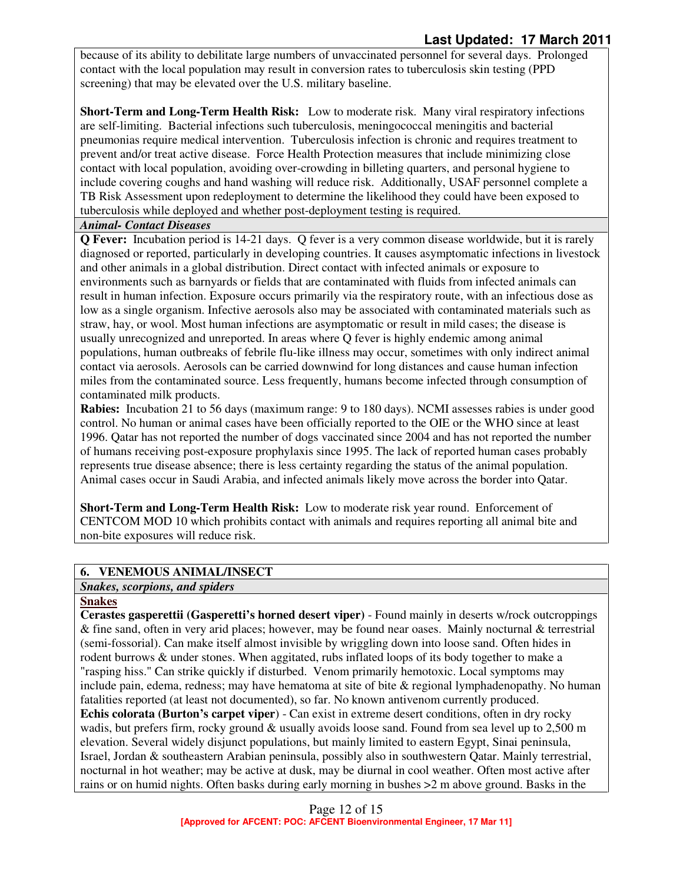because of its ability to debilitate large numbers of unvaccinated personnel for several days. Prolonged contact with the local population may result in conversion rates to tuberculosis skin testing (PPD screening) that may be elevated over the U.S. military baseline.

**Short-Term and Long-Term Health Risk:** Low to moderate risk.Many viral respiratory infections are self-limiting. Bacterial infections such tuberculosis, meningococcal meningitis and bacterial pneumonias require medical intervention. Tuberculosis infection is chronic and requires treatment to prevent and/or treat active disease. Force Health Protection measures that include minimizing close contact with local population, avoiding over-crowding in billeting quarters, and personal hygiene to include covering coughs and hand washing will reduce risk. Additionally, USAF personnel complete a TB Risk Assessment upon redeployment to determine the likelihood they could have been exposed to tuberculosis while deployed and whether post-deployment testing is required.

#### *Animal- Contact Diseases*

**Q Fever:** Incubation period is 14-21 days. Q fever is a very common disease worldwide, but it is rarely diagnosed or reported, particularly in developing countries. It causes asymptomatic infections in livestock and other animals in a global distribution. Direct contact with infected animals or exposure to environments such as barnyards or fields that are contaminated with fluids from infected animals can result in human infection. Exposure occurs primarily via the respiratory route, with an infectious dose as low as a single organism. Infective aerosols also may be associated with contaminated materials such as straw, hay, or wool. Most human infections are asymptomatic or result in mild cases; the disease is usually unrecognized and unreported. In areas where Q fever is highly endemic among animal populations, human outbreaks of febrile flu-like illness may occur, sometimes with only indirect animal contact via aerosols. Aerosols can be carried downwind for long distances and cause human infection miles from the contaminated source. Less frequently, humans become infected through consumption of contaminated milk products.

**Rabies:** Incubation 21 to 56 days (maximum range: 9 to 180 days). NCMI assesses rabies is under good control. No human or animal cases have been officially reported to the OIE or the WHO since at least 1996. Qatar has not reported the number of dogs vaccinated since 2004 and has not reported the number of humans receiving post-exposure prophylaxis since 1995. The lack of reported human cases probably represents true disease absence; there is less certainty regarding the status of the animal population. Animal cases occur in Saudi Arabia, and infected animals likely move across the border into Qatar.

**Short-Term and Long-Term Health Risk:** Low to moderate risk year round. Enforcement of CENTCOM MOD 10 which prohibits contact with animals and requires reporting all animal bite and non-bite exposures will reduce risk.

## **6. VENEMOUS ANIMAL/INSECT**

## *Snakes, scorpions, and spiders*

## **Snakes**

**Cerastes gasperettii (Gasperetti's horned desert viper)** - Found mainly in deserts w/rock outcroppings & fine sand, often in very arid places; however, may be found near oases. Mainly nocturnal & terrestrial (semi-fossorial). Can make itself almost invisible by wriggling down into loose sand. Often hides in rodent burrows & under stones. When aggitated, rubs inflated loops of its body together to make a "rasping hiss." Can strike quickly if disturbed. Venom primarily hemotoxic. Local symptoms may include pain, edema, redness; may have hematoma at site of bite & regional lymphadenopathy. No human fatalities reported (at least not documented), so far. No known antivenom currently produced. **Echis colorata (Burton's carpet viper**) - Can exist in extreme desert conditions, often in dry rocky wadis, but prefers firm, rocky ground & usually avoids loose sand. Found from sea level up to 2,500 m elevation. Several widely disjunct populations, but mainly limited to eastern Egypt, Sinai peninsula, Israel, Jordan & southeastern Arabian peninsula, possibly also in southwestern Qatar. Mainly terrestrial, nocturnal in hot weather; may be active at dusk, may be diurnal in cool weather. Often most active after rains or on humid nights. Often basks during early morning in bushes >2 m above ground. Basks in the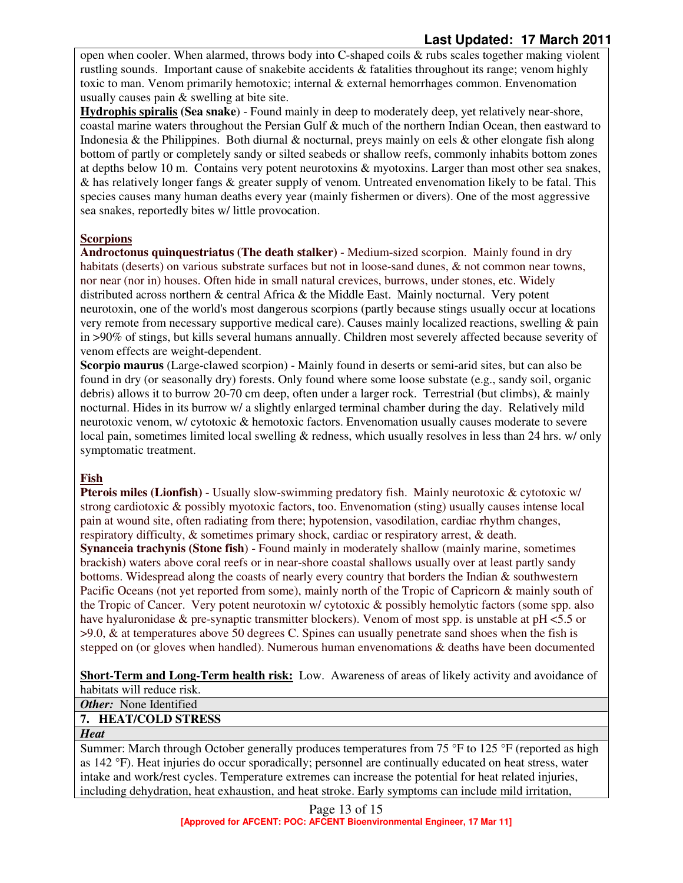open when cooler. When alarmed, throws body into  $C$ -shaped coils  $\&$  rubs scales together making violent rustling sounds. Important cause of snakebite accidents & fatalities throughout its range; venom highly toxic to man. Venom primarily hemotoxic; internal & external hemorrhages common. Envenomation usually causes pain & swelling at bite site.

**Hydrophis spiralis (Sea snake**) - Found mainly in deep to moderately deep, yet relatively near-shore, coastal marine waters throughout the Persian Gulf & much of the northern Indian Ocean, then eastward to Indonesia & the Philippines. Both diurnal & nocturnal, preys mainly on eels & other elongate fish along bottom of partly or completely sandy or silted seabeds or shallow reefs, commonly inhabits bottom zones at depths below 10 m. Contains very potent neurotoxins & myotoxins. Larger than most other sea snakes, & has relatively longer fangs & greater supply of venom. Untreated envenomation likely to be fatal. This species causes many human deaths every year (mainly fishermen or divers). One of the most aggressive sea snakes, reportedly bites w/ little provocation.

## **Scorpions**

**Androctonus quinquestriatus (The death stalker)** - Medium-sized scorpion. Mainly found in dry habitats (deserts) on various substrate surfaces but not in loose-sand dunes, & not common near towns, nor near (nor in) houses. Often hide in small natural crevices, burrows, under stones, etc. Widely distributed across northern & central Africa & the Middle East. Mainly nocturnal. Very potent neurotoxin, one of the world's most dangerous scorpions (partly because stings usually occur at locations very remote from necessary supportive medical care). Causes mainly localized reactions, swelling & pain in >90% of stings, but kills several humans annually. Children most severely affected because severity of venom effects are weight-dependent.

**Scorpio maurus** (Large-clawed scorpion) - Mainly found in deserts or semi-arid sites, but can also be found in dry (or seasonally dry) forests. Only found where some loose substate (e.g., sandy soil, organic debris) allows it to burrow 20-70 cm deep, often under a larger rock. Terrestrial (but climbs), & mainly nocturnal. Hides in its burrow w/ a slightly enlarged terminal chamber during the day. Relatively mild neurotoxic venom, w/ cytotoxic & hemotoxic factors. Envenomation usually causes moderate to severe local pain, sometimes limited local swelling & redness, which usually resolves in less than 24 hrs. w/ only symptomatic treatment.

## **Fish**

**Pterois miles (Lionfish)** - Usually slow-swimming predatory fish. Mainly neurotoxic & cytotoxic w/ strong cardiotoxic & possibly myotoxic factors, too. Envenomation (sting) usually causes intense local pain at wound site, often radiating from there; hypotension, vasodilation, cardiac rhythm changes, respiratory difficulty, & sometimes primary shock, cardiac or respiratory arrest, & death.

**Synanceia trachynis (Stone fish**) - Found mainly in moderately shallow (mainly marine, sometimes brackish) waters above coral reefs or in near-shore coastal shallows usually over at least partly sandy bottoms. Widespread along the coasts of nearly every country that borders the Indian & southwestern Pacific Oceans (not yet reported from some), mainly north of the Tropic of Capricorn & mainly south of the Tropic of Cancer. Very potent neurotoxin w/ cytotoxic & possibly hemolytic factors (some spp. also have hyaluronidase & pre-synaptic transmitter blockers). Venom of most spp. is unstable at pH <5.5 or >9.0, & at temperatures above 50 degrees C. Spines can usually penetrate sand shoes when the fish is stepped on (or gloves when handled). Numerous human envenomations & deaths have been documented

**Short-Term and Long-Term health risk:** Low. Awareness of areas of likely activity and avoidance of habitats will reduce risk.

*Other:* None Identified

## **7. HEAT/COLD STRESS**

*Heat* 

Summer: March through October generally produces temperatures from 75 °F to 125 °F (reported as high as 142 °F). Heat injuries do occur sporadically; personnel are continually educated on heat stress, water intake and work/rest cycles. Temperature extremes can increase the potential for heat related injuries, including dehydration, heat exhaustion, and heat stroke. Early symptoms can include mild irritation,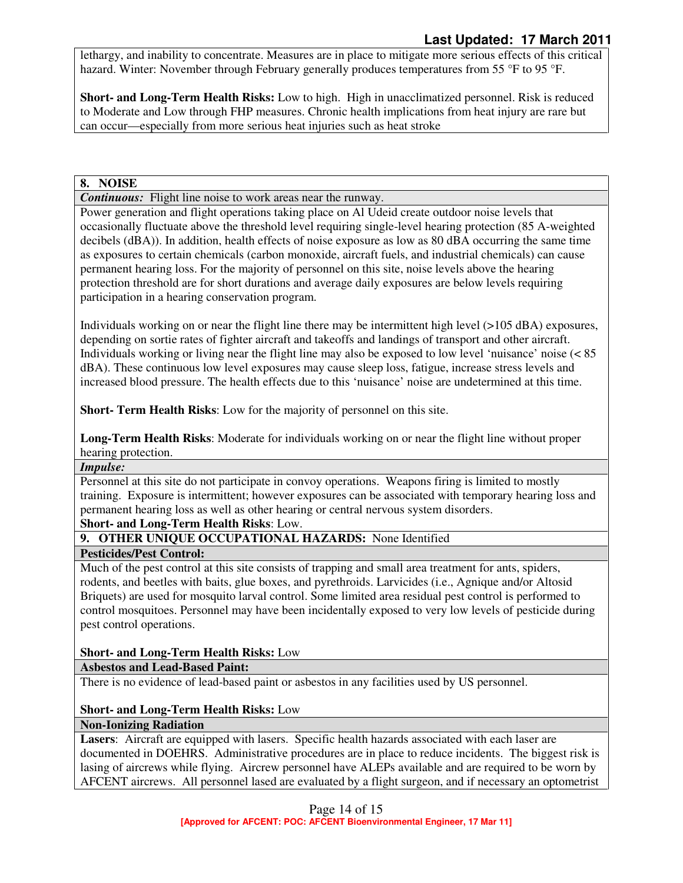lethargy, and inability to concentrate. Measures are in place to mitigate more serious effects of this critical hazard. Winter: November through February generally produces temperatures from 55 °F to 95 °F.

**Short- and Long-Term Health Risks:** Low to high. High in unacclimatized personnel. Risk is reduced to Moderate and Low through FHP measures. Chronic health implications from heat injury are rare but can occur—especially from more serious heat injuries such as heat stroke

#### **8. NOISE**

*Continuous:* Flight line noise to work areas near the runway.

Power generation and flight operations taking place on Al Udeid create outdoor noise levels that occasionally fluctuate above the threshold level requiring single-level hearing protection (85 A-weighted decibels (dBA)). In addition, health effects of noise exposure as low as 80 dBA occurring the same time as exposures to certain chemicals (carbon monoxide, aircraft fuels, and industrial chemicals) can cause permanent hearing loss. For the majority of personnel on this site, noise levels above the hearing protection threshold are for short durations and average daily exposures are below levels requiring participation in a hearing conservation program.

Individuals working on or near the flight line there may be intermittent high level (>105 dBA) exposures, depending on sortie rates of fighter aircraft and takeoffs and landings of transport and other aircraft. Individuals working or living near the flight line may also be exposed to low level 'nuisance' noise (< 85 dBA). These continuous low level exposures may cause sleep loss, fatigue, increase stress levels and increased blood pressure. The health effects due to this 'nuisance' noise are undetermined at this time.

**Short- Term Health Risks**: Low for the majority of personnel on this site.

**Long-Term Health Risks**: Moderate for individuals working on or near the flight line without proper hearing protection.

## *Impulse:*

Personnel at this site do not participate in convoy operations. Weapons firing is limited to mostly training. Exposure is intermittent; however exposures can be associated with temporary hearing loss and permanent hearing loss as well as other hearing or central nervous system disorders.

#### **Short- and Long-Term Health Risks**: Low.

**9. OTHER UNIQUE OCCUPATIONAL HAZARDS:** None Identified

#### **Pesticides/Pest Control:**

Much of the pest control at this site consists of trapping and small area treatment for ants, spiders, rodents, and beetles with baits, glue boxes, and pyrethroids. Larvicides (i.e., Agnique and/or Altosid Briquets) are used for mosquito larval control. Some limited area residual pest control is performed to control mosquitoes. Personnel may have been incidentally exposed to very low levels of pesticide during pest control operations.

#### **Short- and Long-Term Health Risks:** Low

#### **Asbestos and Lead-Based Paint:**

There is no evidence of lead-based paint or asbestos in any facilities used by US personnel.

#### **Short- and Long-Term Health Risks:** Low

#### **Non-Ionizing Radiation**

**Lasers**: Aircraft are equipped with lasers. Specific health hazards associated with each laser are documented in DOEHRS. Administrative procedures are in place to reduce incidents. The biggest risk is lasing of aircrews while flying. Aircrew personnel have ALEPs available and are required to be worn by AFCENT aircrews. All personnel lased are evaluated by a flight surgeon, and if necessary an optometrist